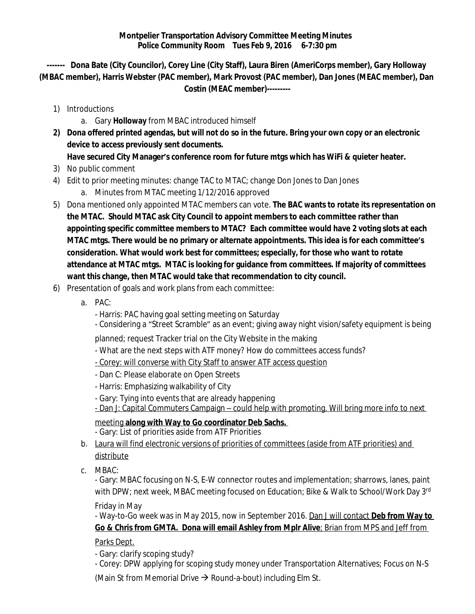**------- Dona Bate (City Councilor), Corey Line (City Staff), Laura Biren (AmeriCorps member), Gary Holloway (MBAC member), Harris Webster (PAC member), Mark Provost (PAC member), Dan Jones (MEAC member), Dan Costin (MEAC member)---------**

- 1) Introductions
	- a. Gary **Holloway** from MBAC introduced himself
- **2) Dona offered printed agendas, but will not do so in the future. Bring your own copy or an electronic device to access previously sent documents. Have secured City Manager's conference room for future mtgs which has WiFi & quieter heater.**
- 3) No public comment
- 4) Edit to prior meeting minutes: change TAC to MTAC; change Don Jones to Dan Jones
	- a. Minutes from MTAC meeting 1/12/2016 approved
- 5) Dona mentioned only appointed MTAC members can vote. **The BAC wants to rotate its representation on the MTAC. Should MTAC ask City Council to appoint members to each committee rather than appointing specific committee members to MTAC? Each committee would have 2 voting slots at each MTAC mtgs. There would be no primary or alternate appointments. This idea is for each committee's consideration. What would work best for committees; especially, for those who want to rotate attendance at MTAC mtgs. MTAC is looking for guidance from committees. If majority of committees want this change, then MTAC would take that recommendation to city council.**
- 6) Presentation of goals and work plans from each committee:
	- a. PAC:
		- Harris: PAC having goal setting meeting on Saturday
		- Considering a "Street Scramble" as an event; giving away night vision/safety equipment is being

planned; request Tracker trial on the City Website in the making

- What are the next steps with ATF money? How do committees access funds?
- Corey: will converse with City Staff to answer ATF access question
- Dan C: Please elaborate on Open Streets
- Harris: Emphasizing walkability of City
- Gary: Tying into events that are already happening
- Dan J: Capital Commuters Campaign could help with promoting. Will bring more info to next

## meeting **along with Way to Go coordinator Deb Sachs.**

- Gary: List of priorities aside from ATF Priorities

- b. Laura will find electronic versions of priorities of committees (aside from ATF priorities) and distribute
- c. MBAC:

- Gary: MBAC focusing on N-S, E-W connector routes and implementation; sharrows, lanes, paint with DPW; next week, MBAC meeting focused on Education; Bike & Walk to School/Work Day 3rd

Friday in May

- Way-to-Go week was in May 2015, now in September 2016. Dan J will contact **Deb from Way to Go & Chris from GMTA. Dona will email Ashley from Mplr Alive**; Brian from MPS and Jeff from

Parks Dept.

- Gary: clarify scoping study?

- Corey: DPW applying for scoping study money under Transportation Alternatives; Focus on N-S

(Main St from Memorial Drive  $\rightarrow$  Round-a-bout) including Elm St.